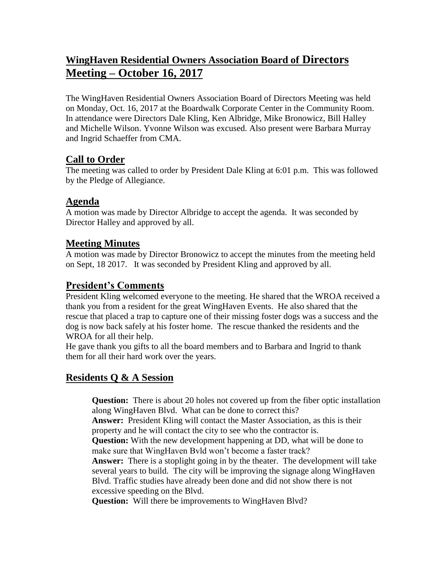# **WingHaven Residential Owners Association Board of Directors Meeting – October 16, 2017**

The WingHaven Residential Owners Association Board of Directors Meeting was held on Monday, Oct. 16, 2017 at the Boardwalk Corporate Center in the Community Room. In attendance were Directors Dale Kling, Ken Albridge, Mike Bronowicz, Bill Halley and Michelle Wilson. Yvonne Wilson was excused. Also present were Barbara Murray and Ingrid Schaeffer from CMA.

### **Call to Order**

The meeting was called to order by President Dale Kling at 6:01 p.m. This was followed by the Pledge of Allegiance.

# **Agenda**

A motion was made by Director Albridge to accept the agenda. It was seconded by Director Halley and approved by all.

# **Meeting Minutes**

A motion was made by Director Bronowicz to accept the minutes from the meeting held on Sept, 18 2017. It was seconded by President Kling and approved by all.

# **President's Comments**

President Kling welcomed everyone to the meeting. He shared that the WROA received a thank you from a resident for the great WingHaven Events. He also shared that the rescue that placed a trap to capture one of their missing foster dogs was a success and the dog is now back safely at his foster home. The rescue thanked the residents and the WROA for all their help.

He gave thank you gifts to all the board members and to Barbara and Ingrid to thank them for all their hard work over the years.

### **Residents Q & A Session**

**Question:** There is about 20 holes not covered up from the fiber optic installation along WingHaven Blvd. What can be done to correct this?

**Answer:** President Kling will contact the Master Association, as this is their property and he will contact the city to see who the contractor is.

**Question:** With the new development happening at DD, what will be done to make sure that WingHaven Bvld won't become a faster track?

**Answer:** There is a stoplight going in by the theater. The development will take several years to build. The city will be improving the signage along WingHaven Blvd. Traffic studies have already been done and did not show there is not excessive speeding on the Blvd.

**Question:** Will there be improvements to WingHaven Blvd?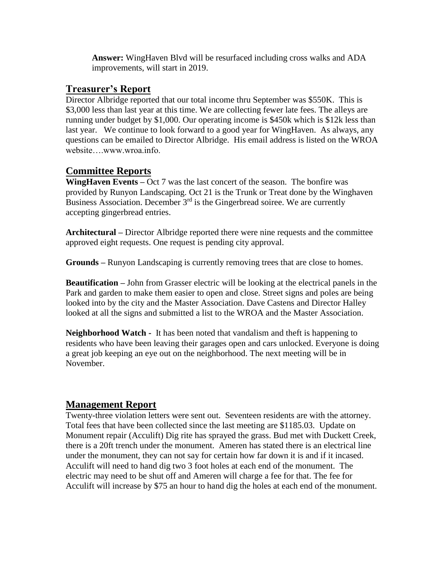**Answer:** WingHaven Blvd will be resurfaced including cross walks and ADA improvements, will start in 2019.

#### **Treasurer's Report**

Director Albridge reported that our total income thru September was \$550K. This is \$3,000 less than last year at this time. We are collecting fewer late fees. The alleys are running under budget by \$1,000. Our operating income is \$450k which is \$12k less than last year. We continue to look forward to a good year for WingHaven. As always, any questions can be emailed to Director Albridge. His email address is listed on the WROA website….www.wroa.info.

#### **Committee Reports**

**WingHaven Events –** Oct 7 was the last concert of the season. The bonfire was provided by Runyon Landscaping. Oct 21 is the Trunk or Treat done by the Winghaven Business Association. December  $3<sup>rd</sup>$  is the Gingerbread soiree. We are currently accepting gingerbread entries.

**Architectural –** Director Albridge reported there were nine requests and the committee approved eight requests. One request is pending city approval.

**Grounds –** Runyon Landscaping is currently removing trees that are close to homes.

**Beautification –** John from Grasser electric will be looking at the electrical panels in the Park and garden to make them easier to open and close. Street signs and poles are being looked into by the city and the Master Association. Dave Castens and Director Halley looked at all the signs and submitted a list to the WROA and the Master Association.

**Neighborhood Watch -** It has been noted that vandalism and theft is happening to residents who have been leaving their garages open and cars unlocked. Everyone is doing a great job keeping an eye out on the neighborhood. The next meeting will be in November.

### **Management Report**

Twenty-three violation letters were sent out. Seventeen residents are with the attorney. Total fees that have been collected since the last meeting are \$1185.03. Update on Monument repair (Acculift) Dig rite has sprayed the grass. Bud met with Duckett Creek, there is a 20ft trench under the monument. Ameren has stated there is an electrical line under the monument, they can not say for certain how far down it is and if it incased. Acculift will need to hand dig two 3 foot holes at each end of the monument. The electric may need to be shut off and Ameren will charge a fee for that. The fee for Acculift will increase by \$75 an hour to hand dig the holes at each end of the monument.